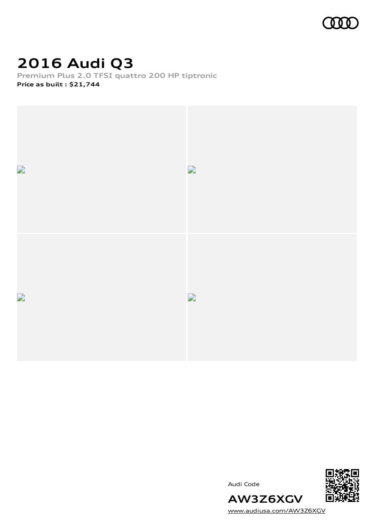

# **2016 Audi Q3**

**Premium Plus 2.0 TFSI quattro 200 HP tiptronic Price as built [:](#page-9-0) \$21,744**



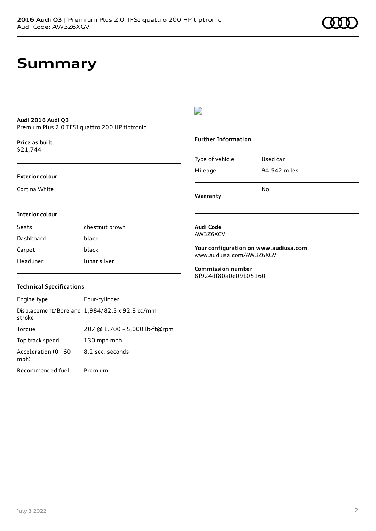### **Summary**

### **Audi 2016 Audi Q3** Premium Plus 2.0 TFSI quattro 200 HP tiptronic

**Price as buil[t](#page-9-0)** \$21,744

#### **Exterior colour**

Cortina White

### $\overline{\phantom{a}}$

### **Further Information**

|                 | N٥           |
|-----------------|--------------|
| Mileage         | 94,542 miles |
| Type of vehicle | Used car     |

**Warranty**

#### **Interior colour**

| Seats     | chestnut brown |
|-----------|----------------|
| Dashboard | black          |
| Carpet    | black          |
| Headliner | lunar silver   |

#### **Audi Code** AW3Z6XGV

**Your configuration on www.audiusa.com** [www.audiusa.com/AW3Z6XGV](https://www.audiusa.com/AW3Z6XGV)

**Commission number** 8f924df80a0e09b05160

### **Technical Specifications**

| Engine type                  | Four-cylinder                                 |
|------------------------------|-----------------------------------------------|
| stroke                       | Displacement/Bore and 1,984/82.5 x 92.8 cc/mm |
| Torque                       | 207 @ 1,700 - 5,000 lb-ft@rpm                 |
| Top track speed              | 130 mph mph                                   |
| Acceleration (0 - 60<br>mph) | 8.2 sec. seconds                              |
| Recommended fuel             | Premium                                       |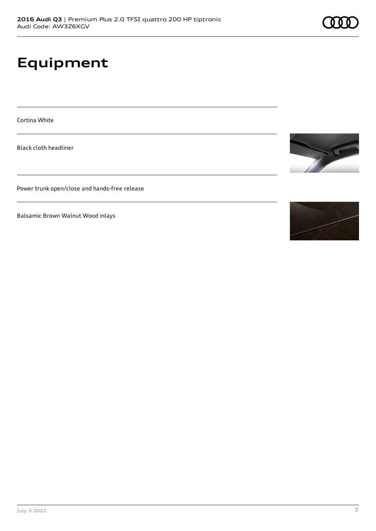# **Equipment**

Cortina White

Black cloth headliner

Power trunk open/close and hands-free release

Balsamic Brown Walnut Wood inlays



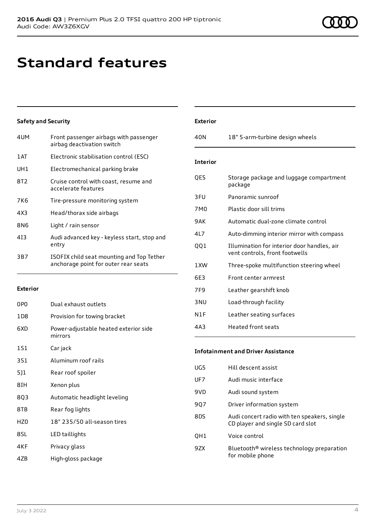## **Standard features**

### **Safety and Security**

| 4UM  | Front passenger airbags with passenger<br>airbag deactivation switch              |
|------|-----------------------------------------------------------------------------------|
| 1 AT | Electronic stabilisation control (ESC)                                            |
| UH1  | Electromechanical parking brake                                                   |
| 8T2  | Cruise control with coast, resume and<br>accelerate features                      |
| 7K6  | Tire-pressure monitoring system                                                   |
| 4X3  | Head/thorax side airbags                                                          |
| 8N6  | Light / rain sensor                                                               |
| 413  | Audi advanced key - keyless start, stop and<br>entry                              |
| 3B7  | ISOFIX child seat mounting and Top Tether<br>anchorage point for outer rear seats |

#### **Exterior**

| 0PO   | Dual exhaust outlets                             |
|-------|--------------------------------------------------|
| 1 D 8 | Provision for towing bracket                     |
| 6XD   | Power-adjustable heated exterior side<br>mirrors |
| 151   | Car jack                                         |
| 3S1   | Aluminum roof rails                              |
| 5]1   | Rear roof spoiler                                |
| 8IH   | Xenon plus                                       |
| 8Q3   | Automatic headlight leveling                     |
| 8TB   | Rear fog lights                                  |
| HZ0   | 18" 235/50 all-season tires                      |
| 8SL   | LED taillights                                   |
| 4KF   | Privacy glass                                    |
| 47B   | High-gloss package                               |

| <b>Exterior</b> |                                                                               |
|-----------------|-------------------------------------------------------------------------------|
| 40N             | 18" 5-arm-turbine design wheels                                               |
| <b>Interior</b> |                                                                               |
| QE5             | Storage package and luggage compartment<br>package                            |
| 3FU             | Panoramic sunroof                                                             |
| 7M0             | Plastic door sill trims                                                       |
| 9AK             | Automatic dual-zone climate control                                           |
| 417             | Auto-dimming interior mirror with compass                                     |
| 001             | Illumination for interior door handles, air<br>vent controls, front footwells |
| 1 XW            | Three-spoke multifunction steering wheel                                      |
| 6F3             | Front center armrest                                                          |
| 7F <sub>9</sub> | Leather gearshift knob                                                        |
| 3 <sub>NU</sub> | Load-through facility                                                         |
| N1F             | Leather seating surfaces                                                      |
| 4 A 3           | Heated front seats                                                            |

### **Infotainment and Driver Assistance**

| UG5 | Hill descent assist                                                               |
|-----|-----------------------------------------------------------------------------------|
| UF7 | Audi music interface                                                              |
| 9VD | Audi sound system                                                                 |
| 907 | Driver information system                                                         |
| 8DS | Audi concert radio with ten speakers, single<br>CD player and single SD card slot |
| OH1 | Voice control                                                                     |
| 9ZX | Bluetooth <sup>®</sup> wireless technology preparation<br>for mobile phone        |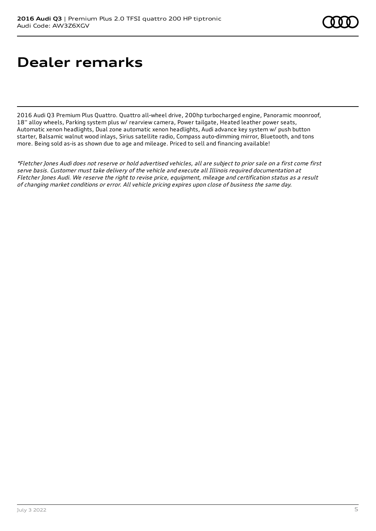# **Dealer remarks**

2016 Audi Q3 Premium Plus Quattro. Quattro all-wheel drive, 200hp turbocharged engine, Panoramic moonroof, 18'' alloy wheels, Parking system plus w/ rearview camera, Power tailgate, Heated leather power seats, Automatic xenon headlights, Dual zone automatic xenon headlights, Audi advance key system w/ push button starter, Balsamic walnut wood inlays, Sirius satellite radio, Compass auto-dimming mirror, Bluetooth, and tons more. Being sold as-is as shown due to age and mileage. Priced to sell and financing available!

\*Fletcher Jones Audi does not reserve or hold advertised vehicles, all are subject to prior sale on <sup>a</sup> first come first serve basis. Customer must take delivery of the vehicle and execute all Illinois required documentation at Fletcher Jones Audi. We reserve the right to revise price, equipment, mileage and certification status as <sup>a</sup> result of changing market conditions or error. All vehicle pricing expires upon close of business the same day.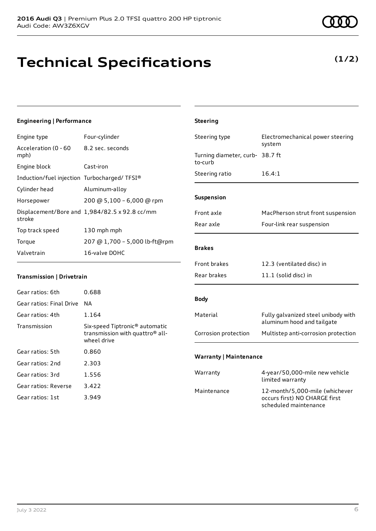# **Technical Specifications**

July 3 2022 6

### **Engineering | Performance**

Engine type Four-cylinder

| Acceleration (0 - 60<br>mph)                | 8.2 sec. seconds                              |
|---------------------------------------------|-----------------------------------------------|
| Engine block                                | Cast-iron                                     |
| Induction/fuel injection Turbocharged/TFSI® |                                               |
| Cylinder head                               | Aluminum-alloy                                |
| Horsepower                                  | 200 @ 5,100 - 6,000 @ rpm                     |
| stroke                                      | Displacement/Bore and 1,984/82.5 x 92.8 cc/mm |
| Top track speed                             | 130 mph mph                                   |
| Torque                                      | 207 @ 1,700 - 5,000 lb-ft@rpm                 |
| Valvetrain                                  | 16-valve DOHC                                 |

### **Transmission | Drivetrain**

| Gear ratios: 6th         | 0.688                                                                                                    |
|--------------------------|----------------------------------------------------------------------------------------------------------|
| Gear ratios: Final Drive | NА                                                                                                       |
| Gear ratios: 4th         | 1.164                                                                                                    |
| Transmission             | Six-speed Tiptronic <sup>®</sup> automatic<br>transmission with quattro <sup>®</sup> all-<br>wheel drive |
| Gear ratios: 5th         | 0.860                                                                                                    |
| Gear ratios: 2nd         | 2.303                                                                                                    |
| Gear ratios: 3rd         | 1.556                                                                                                    |
| Gear ratios: Reverse     | 3.422                                                                                                    |
| Gear ratios: 1st         | 3.949                                                                                                    |

| Steering type                              | Electromechanical power steering<br>system                        |
|--------------------------------------------|-------------------------------------------------------------------|
| Turning diameter, curb- 38.7 ft<br>to-curb |                                                                   |
| Steering ratio                             | 16.4:1                                                            |
|                                            |                                                                   |
| <b>Suspension</b>                          |                                                                   |
| Front axle                                 | MacPherson strut front suspension                                 |
| Rear axle                                  | Four-link rear suspension                                         |
|                                            |                                                                   |
| <b>Brakes</b>                              |                                                                   |
| <b>Front brakes</b>                        | 12.3 (ventilated disc) in                                         |
| Rear brakes                                | 11.1 (solid disc) in                                              |
|                                            |                                                                   |
| Body                                       |                                                                   |
| Material                                   | Fully galvanized steel unibody with<br>aluminum hood and tailgate |
| Corrosion protection                       | Multistep anti-corrosion protection                               |
|                                            |                                                                   |
| <b>Warranty   Maintenance</b>              |                                                                   |
| Warranty                                   | 4-year/50,000-mile new vehicle<br>limited warranty                |
| Maintenance                                | 12-month/5,000-mile (whichever<br>occurs first) NO CHARGE first   |

scheduled maintenance

**Steering**

### **(1/2)**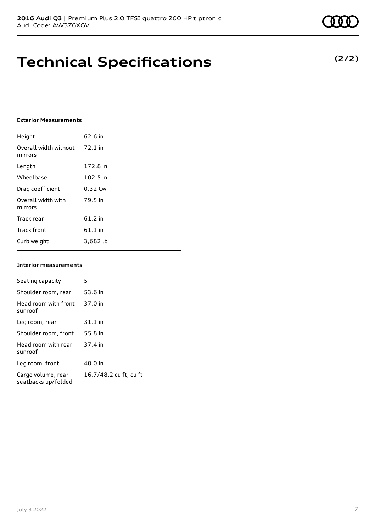### **Technical Specifications**

### **Exterior Measurements**

| Height                           | 62.6 in   |
|----------------------------------|-----------|
| Overall width without<br>mirrors | $72.1$ in |
| Length                           | 172.8 in  |
| Wheelbase                        | 102.5 in  |
| Drag coefficient                 | 0.32 Cw   |
| Overall width with<br>mirrors    | 79.5 in   |
| Track rear                       | 61.2 in   |
| <b>Track front</b>               | 61.1 in   |
| Curb weight                      | 3,682 lb  |

### **Interior measurements**

| Seating capacity                          | 5                      |
|-------------------------------------------|------------------------|
| Shoulder room, rear                       | 53.6 in                |
| Head room with front<br>sunroof           | 37.0 in                |
| Leg room, rear                            | $31.1$ in              |
| Shoulder room, front                      | 55.8 in                |
| Head room with rear<br>sunroof            | 37.4 in                |
| Leg room, front                           | 40.0 in                |
| Cargo volume, rear<br>seatbacks up/folded | 16.7/48.2 cu ft, cu ft |

### **(2/2)**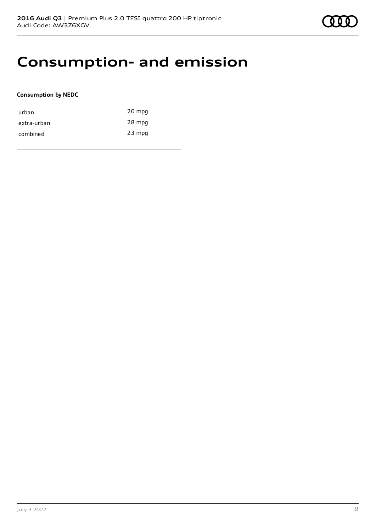### **Consumption- and emission**

### **Consumption by NEDC**

| urban       | 20 mpg   |
|-------------|----------|
| extra-urban | 28 mpg   |
| combined    | $23$ mpg |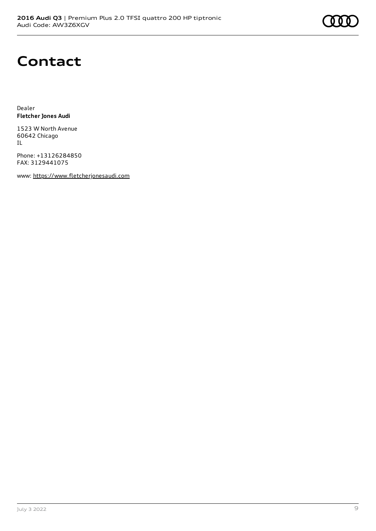

### **Contact**

Dealer **Fletcher Jones Audi**

1523 W North Avenue 60642 Chicago IL

Phone: +13126284850 FAX: 3129441075

www: [https://www.fletcherjonesaudi.com](https://www.fletcherjonesaudi.com/)